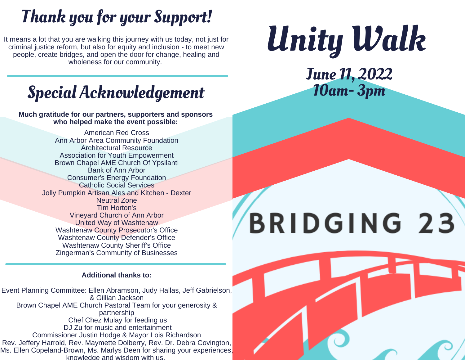### Thank you for your Support!

It means a lot that you are walking this journey with us today, not just for criminal justice reform, but also for equity and inclusion - to meet new people, create bridges, and open the door for change, healing and wholeness for our community.

Special Acknowledgement

**Much gratitude for our partners, supporters and sponsors who helped make the event possible:**

> American Red Cross [Ann Arbor Area Community Foundation](http://em.networkforgood.com/ls/click?upn=VAGGw4zHikj3d-2F5242H3ZmIeQsNItIubZgs9SwIuXIk-3DNe29_TFHDt9u8SPIb1CEjCIEhvRfcGO3fE12OKdT8qAzQHu50h3csSvd7UXsxUfJSqHa3-2Bg-2Fbnt1J5xnv5mawA1uagZPVlWeJkX0LUFsBCxFf2zvAC-2BD3Glxxw4SXPfEVWEC-2Be5kAgXw661Cr7BYp6yX9dHytgJHe2SaJpHktLU9Bt-2FQt0Y3jQvwRrhYa2JCbxWcXcvM35CkATHW3rKYH4RNH8hU9GgjdFG2H849oQp6Z5owQtkHkm2ZAIl-2B5Yr93PfT3jHy2equ1Oh08ugmiiiNko0u9rjv8AFx2FiZbytbJNVofvm0d83AhOunz2UaUS6MK1YRrDChKvVFjB4RZdXB9gpqhSG3fEGVOdFuOvovczeA-3D) [Architectural Resource](http://em.networkforgood.com/ls/click?upn=VAGGw4zHikj3d-2F5242H3ZivvRJDXyRqRy4kL9zFhUPmwPO2B8oGzKGHjQw4pi38J80DG_TFHDt9u8SPIb1CEjCIEhvRfcGO3fE12OKdT8qAzQHu50h3csSvd7UXsxUfJSqHa3-2Bg-2Fbnt1J5xnv5mawA1uagZPVlWeJkX0LUFsBCxFf2zvAC-2BD3Glxxw4SXPfEVWEC-2Be5kAgXw661Cr7BYp6yX9dHytgJHe2SaJpHktLU9Bt-2FTSxjNuI1rwVVBok-2FEbUP2ejIdTxE1gVUoGh3ixyaI4N0vFKSWrf6Y-2B9slNCNFA1RplgBhp6F7K7qcWAiFCbCkpjOHIZfjmdaLQjUL68bs0WCFynqYeY1sVaADVA-2FY-2BQDW1iSkzR7IJ3YlKlnIqWX2SDK6z-2B52FRGDpznOIbMQt8vh8Tb9xxXPjrm97alPjRJQ-3D) [Association for Youth Empowerment](http://em.networkforgood.com/ls/click?upn=niUYRGBMpNVlsgtvP22N71L5kVEPWKwiUZi59vPdnNU-3DgJIS_TFHDt9u8SPIb1CEjCIEhvRfcGO3fE12OKdT8qAzQHu50h3csSvd7UXsxUfJSqHa3-2Bg-2Fbnt1J5xnv5mawA1uagZPVlWeJkX0LUFsBCxFf2zvAC-2BD3Glxxw4SXPfEVWEC-2Be5kAgXw661Cr7BYp6yX9dHytgJHe2SaJpHktLU9Bt-2FQvGh5VbUHb3xbOfcLDRhPwnkHLXag7-2BqOAiA0IzFBVIG-2FZzZjlr6EQq0J1p1Ta5w4IdCTTth-2B6gtFB-2FmxcbyJp4Dcyqible8JtLgul9j2KVle-2BvXTpW5LfQEV7m4rgoQGAa5K8qzvMhjX92T8M94lphHeHQ3P1zBzxxjnKQkBxL2F00FNev2A3V9LGm0RN2cw-3D) Brown Chapel AME Church Of Ypsilanti [Bank of Ann Arbor](http://em.networkforgood.com/ls/click?upn=VAGGw4zHikj3d-2F5242H3ZoyM3O4z0q0xfvgrbv2e27p0aJdYvQ5oafw1GG-2BBxjlYOqo1_TFHDt9u8SPIb1CEjCIEhvRfcGO3fE12OKdT8qAzQHu50h3csSvd7UXsxUfJSqHa3-2Bg-2Fbnt1J5xnv5mawA1uagZPVlWeJkX0LUFsBCxFf2zvAC-2BD3Glxxw4SXPfEVWEC-2Be5kAgXw661Cr7BYp6yX9dHytgJHe2SaJpHktLU9Bt-2FS14fRYg1X3xxA5CffcIYM5HptZyfyE6esgMGnW-2FXIOh4a0Qb8K-2BngDErDD69PZ-2FiacQm0N-2F3hDqg9G4Qla-2BfZieXw9EYckOdcWUPmGjVPVv63qYFh4rV115kTtsaUxo7VZOCpeDLvSQ3TI7pBhV0wYPWPKB2fNIZQ8aoTDDJopRmewC6GQniwn9JlAUCtipOY-3D) [Consumer's Energy Foundation](http://em.networkforgood.com/ls/click?upn=VAGGw4zHikj3d-2F5242H3ZuKJ5RuqUq9rOHFz3iIo2Urag0pR7JUQU2eSVIzZbR5gIFJKh7e-2FCx1fbyNhW43pE5ja82eOkMKj5m4tranxlek-3D3PWn_TFHDt9u8SPIb1CEjCIEhvRfcGO3fE12OKdT8qAzQHu50h3csSvd7UXsxUfJSqHa3-2Bg-2Fbnt1J5xnv5mawA1uagZPVlWeJkX0LUFsBCxFf2zvAC-2BD3Glxxw4SXPfEVWEC-2Be5kAgXw661Cr7BYp6yX9dHytgJHe2SaJpHktLU9Bt-2FT2IGd-2F6Hiir4EDzQpfmMhZvkAj-2BzM8i-2BxygUlKy7ZkZPNDe05ymEH3tXLEpFju9jYw2PR9bD22uHCJFg3Luj24BpyMyJoevWM2cmfiqQv-2FbatXEgQiDN3kbcwJKvlYBhB1omhwHMnGmOqD-2B79sJ5M3PJ-2Bw6f6dB8LaT7ebcXvSrAEPMXxk-2BXVKXJZZN7ACYOU-3D) Catholic Social Services [Jolly Pumpkin Artisan Ales and Kitchen - Dexter](http://em.networkforgood.com/ls/click?upn=VAGGw4zHikj3d-2F5242H3Zh5iJKvCprRHaYELw-2FCDesyBAGrMOGnxOBWJnAykQOaANsLBN3Vxefsb1VLnpUsjIA-3D-3DD3_j_TFHDt9u8SPIb1CEjCIEhvRfcGO3fE12OKdT8qAzQHu50h3csSvd7UXsxUfJSqHa3-2Bg-2Fbnt1J5xnv5mawA1uagZPVlWeJkX0LUFsBCxFf2zvAC-2BD3Glxxw4SXPfEVWEC-2Be5kAgXw661Cr7BYp6yX9dHytgJHe2SaJpHktLU9Bt-2FSTkn63f8HmTRk11Mom-2FZ-2BjB-2BCy980gQZ47YZAMGH6Wtahxyif42RWxsHBwT-2Fr4GDfkJYJpu0PhyMlVud8mR4uJ57O49P4oIyC4s6WbqlyDMjDNFG0gTwAmLG8ZotyjqVc-2BqCb2PLrw361-2FmffDeM5VTm9vbPMSaq-2FByEWb-2BlkFmKitcSjx-2FXvFYzhnbrjGP6o-3D) Neutral Zone [Tim Horton'](http://em.networkforgood.com/ls/click?upn=VAGGw4zHikj3d-2F5242H3ZgBC0tBtgoU9JWPU3mNjNcZUptW8RAGaqlK6Ont5kC3mUUne_TFHDt9u8SPIb1CEjCIEhvRfcGO3fE12OKdT8qAzQHu50h3csSvd7UXsxUfJSqHa3-2Bg-2Fbnt1J5xnv5mawA1uagZPVlWeJkX0LUFsBCxFf2zvAC-2BD3Glxxw4SXPfEVWEC-2Be5kAgXw661Cr7BYp6yX9dHytgJHe2SaJpHktLU9Bt-2FQfTm-2BkMo0ImcZ-2BKsosemgjAGqPMJOsdqG-2FYdfkofWAf3Bxe2GJmid0K3iV3BmICkNseeEazHkKE8GWq06hr54XkGqLn0AODFdOzov-2FK7U-2BDiShfFtymAOvFl0wLc6zqRgW3cEXZBIci674ouEzK84vB9rtFzfSVygh6F87jDicQuAQlvVa3OLzelGXPdNmQfg-3D)s Vineyard Church of Ann Arbor United Way of Washtenaw [Washtenaw County Prosecutor's Office](http://em.networkforgood.com/ls/click?upn=VAGGw4zHikj3d-2F5242H3ZineYtbN6s1DeH3IvOzkDliG1zwQoChJwd7ebz1WMSa9fQmr0AnSEq9Py5xG6j2dDw-3D-3DsB8j_TFHDt9u8SPIb1CEjCIEhvRfcGO3fE12OKdT8qAzQHu50h3csSvd7UXsxUfJSqHa3-2Bg-2Fbnt1J5xnv5mawA1uagZPVlWeJkX0LUFsBCxFf2zvAC-2BD3Glxxw4SXPfEVWEC-2Be5kAgXw661Cr7BYp6yX9dHytgJHe2SaJpHktLU9Bt-2FQDacoTsQWoiFzJxH7bag-2BsoEf6Gy1Pjcrcla-2FaalPhBVKs-2BlXyFGUJRAlsMMG4rdNlyOsEhBlaCKQ8nGIJq1ke71Mc-2BilHqJTLtkK6sksOCr5ogY73s0TQpsw-2FHNFa26rSmboKSRNCYpkP6KSJyMKk50Z1DpJIuidrcJPwEMSCcPhhH8hSa11rJCRxZ4p1lHs-3D) [Washtenaw County Defender's Office](http://em.networkforgood.com/ls/click?upn=VAGGw4zHikj3d-2F5242H3ZineYtbN6s1DeH3IvOzkDlgdvcZCbMO7AGxQVYZfmLz72iqKbA5QQk6-2BqZjAz4fZoA-3D-3DVCY-_TFHDt9u8SPIb1CEjCIEhvRfcGO3fE12OKdT8qAzQHu50h3csSvd7UXsxUfJSqHa3-2Bg-2Fbnt1J5xnv5mawA1uagZPVlWeJkX0LUFsBCxFf2zvAC-2BD3Glxxw4SXPfEVWEC-2Be5kAgXw661Cr7BYp6yX9dHytgJHe2SaJpHktLU9Bt-2FT7qTCHqtFhl0t1dARI-2B0aElf0QGYykwiA-2Ff4D2vC6J3Xdq3c9pBFA3Juyh88qK7F1Xlbr4P6esmOjoMGCvj07SgK7AwYZbcfo-2BXx4oT8WCaeUhJzcD52G-2BK1Z1Mo2ro97ausDu-2B8qQo3WGqmcVPKsBOLn3A5bH-2BdUHlt6QO1YRHcxwWae-2FwKDGEjKrpeT6aKo-3D) [Washtenaw County Sheriff's Office](http://em.networkforgood.com/ls/click?upn=VAGGw4zHikj3d-2F5242H3ZineYtbN6s1DeH3IvOzkDlghtl6jiCfhifjwlQVzJ2usMTTd_TFHDt9u8SPIb1CEjCIEhvRfcGO3fE12OKdT8qAzQHu50h3csSvd7UXsxUfJSqHa3-2Bg-2Fbnt1J5xnv5mawA1uagZPVlWeJkX0LUFsBCxFf2zvAC-2BD3Glxxw4SXPfEVWEC-2Be5kAgXw661Cr7BYp6yX9dHytgJHe2SaJpHktLU9Bt-2FTjJXMrXDRF0Q1th0emn9NXVwTyaAvi0bUVOBbYN-2FavfvOMkiP-2B8JovAhO5jnHhr2g7pnihvd-2BZhWwuPkqNnXhah5QkjyO6-2FJmH6Gkp37f9Rc4dxsGgO9nt6GL1vXRrXvOcmLdQSkvTSHVpbsKoeCULcH8R6jdkEPuvvDBMqQEJ-2FZxg3ZR742bi-2BxiTexUOPok-3D) [Zingerman's Community of Businesse](http://em.networkforgood.com/ls/click?upn=VAGGw4zHikj3d-2F5242H3ZuQxKCXziAuCxRjwOUYxlyZuv3u02fNp-2BHHXCYJYdRPGOF06_TFHDt9u8SPIb1CEjCIEhvRfcGO3fE12OKdT8qAzQHu50h3csSvd7UXsxUfJSqHa3-2Bg-2Fbnt1J5xnv5mawA1uagZPVlWeJkX0LUFsBCxFf2zvAC-2BD3Glxxw4SXPfEVWEC-2Be5kAgXw661Cr7BYp6yX9dHytgJHe2SaJpHktLU9Bt-2FTdO5mSuz5ZRf92D-2BEw7RY6dm1K1hTFwOGF-2FJPgXoPfI2o3w7YFnTqSuJ7FoUxzoKskkUYhKPx-2BEN8R2S6GemLsnxt-2BLmzFUdDPyiykzTSkb4X4bdJJ6CfUXturP1VAwZnblzSyQUyYcyQmaSum6oBftXx6xYntRCRkma6RQBs8Mjyllw13BzHDrej10mC9j8A-3D)s

#### **Additional thanks to:**

Event Planning Committee: Ellen Abramson, Judy Hallas, Jeff Gabrielson, & Gillian Jackson Brown Chapel AME Church Pastoral Team for your generosity & partnership Chef Chez Mulay for feeding us DJ Zu for music and entertainment Commissioner Justin Hodge & Mayor Lois Richardson Rev. Jeffery Harrold, Rev. Maymette Dolberry, Rev. Dr. Debra Covington, Ms. Ellen Copeland-Brown, Ms. Marlys Deen for sharing your experiences, knowledge and wisdom with us.

# Unity Walk

June 11, 2022 10am- 3pm

# BRIDGING 23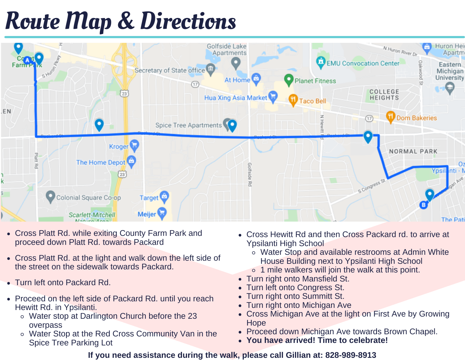## Route Map & Directions



- Cross Platt Rd. while exiting County Farm Park and proceed down Platt Rd. towards Packard
- Cross Platt Rd. at the light and walk down the left side of the street on the sidewalk towards Packard.
- Turn left onto Packard Rd.
- Proceed on the left side of Packard Rd. until you reach Hewitt Rd. in Ypsilanti.
	- Water stop at Darlington Church before the 23 overpass
	- Water Stop at the Red Cross Community Van in the Spice Tree Parking Lot
- Cross Hewitt Rd and then Cross Packard rd. to arrive at Ypsilanti High School
	- Water Stop and available restrooms at Admin White House Building next to Ypsilanti High School
	- $\circ$  1 mile walkers will join the walk at this point.
- Turn right onto Mansfield St.
- Turn left onto Congress St.
- Turn right onto Summitt St.
- Turn right onto Michigan Ave
- Cross Michigan Ave at the light on First Ave by Growing **Hope**
- Proceed down Michigan Ave towards Brown Chapel.
- **You have arrived! Time to celebrate!**

#### **If you need assistance during the walk, please call Gillian at: 828-989-8913**